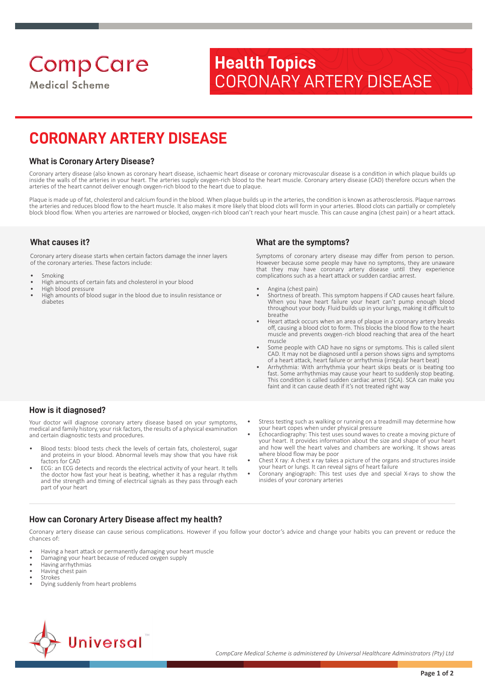**Comp Care Medical Scheme** 

# **Health Topics** CORONARY ARTERY DISEASE

# **CORONARY ARTERY DISEASE**

## **What is Coronary Artery Disease?**

Coronary artery disease (also known as coronary heart disease, ischaemic heart disease or coronary microvascular disease is a condition in which plaque builds up inside the walls of the arteries in your heart. The arteries supply oxygen-rich blood to the heart muscle. Coronary artery disease (CAD) therefore occurs when the arteries of the heart cannot deliver enough oxygen-rich blood to the heart due to plaque.

Plaque is made up of fat, cholesterol and calcium found in the blood. When plaque builds up in the arteries, the condition is known as atherosclerosis. Plaque narrows the arteries and reduces blood flow to the heart muscle. It also makes it more likely that blood clots will form in your arteries. Blood clots can partially or completely block blood flow. When you arteries are narrowed or blocked, oxygen-rich blood can't reach your heart muscle. This can cause angina (chest pain) or a heart attack.

# **What causes it?**

Coronary artery disease starts when certain factors damage the inner layers of the coronary arteries. These factors include:

- **Smoking**
- High amounts of certain fats and cholesterol in your blood
- High blood pressure
- High amounts of blood sugar in the blood due to insulin resistance or diabetes

# **What are the symptoms?**

Symptoms of coronary artery disease may differ from person to person. However because some people may have no symptoms, they are unaware that they may have coronary artery disease until they experience complications such as a heart attack or sudden cardiac arrest.

- Angina (chest pain)
- Shortness of breath. This symptom happens if CAD causes heart failure. When you have heart failure your heart can't pump enough blood throughout your body. Fluid builds up in your lungs, making it difficult to breathe
- Heart attack occurs when an area of plaque in a coronary artery breaks off, causing a blood clot to form. This blocks the blood flow to the heart muscle and prevents oxygen -rich blood reaching that area of the heart muscle
- Some people with CAD have no signs or symptoms. This is called silent CAD. It may not be diagnosed until a person shows signs and symptoms of a heart attack, heart failure or arrhythmia (irregular heart beat)
- Arrhythmia: With arrhythmia your heart skips beats or is beating too fast. Some arrhythmias may cause your heart to suddenly stop beating. This condition is called sudden cardiac arrest (SCA). SCA can make you faint and it can cause death if it's not treated right way

### **How is it diagnosed?**

Your doctor will diagnose coronary artery disease based on your symptoms, medical and family history, your risk factors, the results of a physical examination and certain diagnostic tests and procedures.

- Blood tests: blood tests check the levels of certain fats, cholesterol, sugar and proteins in your blood. Abnormal levels may show that you have risk factors for CAD
- ECG: an ECG detects and records the electrical activity of your heart. It tells the doctor how fast your heat is beating, whether it has a regular rhythm and the strength and timing of electrical signals as they pass through each part of your heart

#### • Stress testing such as walking or running on a treadmill may determine how your heart copes when under physical pressure

- Echocardiography: This test uses sound waves to create a moving picture of your heart. It provides information about the size and shape of your heart and how well the heart valves and chambers are working. It shows areas where blood flow may be poor
- Chest X ray: A chest x ray takes a picture of the organs and structures inside your heart or lungs. It can reveal signs of heart failure
- Coronary angiograph: This test uses dye and special X-rays to show the insides of your coronary arteries

# **How can Coronary Artery Disease affect my health?**

Coronary artery disease can cause serious complications. However if you follow your doctor's advice and change your habits you can prevent or reduce the chances of:

- Having a heart attack or permanently damaging your heart muscle
- Damaging your heart because of reduced oxygen supply
- Having arrhythmias
- Having chest pain
- Strokes
- Dying suddenly from heart problems